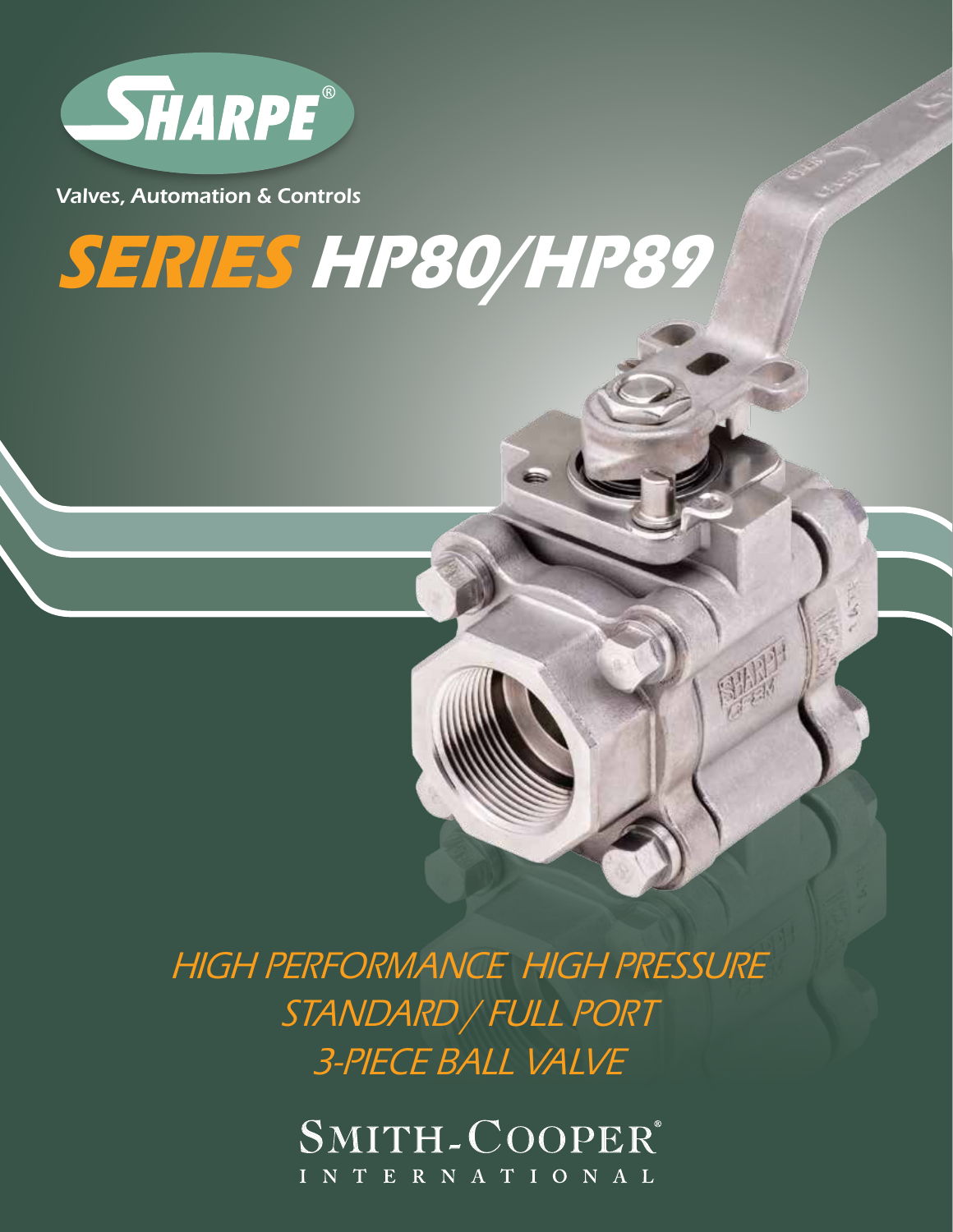

Valves, Automation & Controls

# **SERIES HP80/HP89**

HIGH PERFORMANCE HIGH PRESSURE STANDARD / FULL PORT 3-PIECE BALL VALVE

> SMITH-COOPER® INTERNATIONAL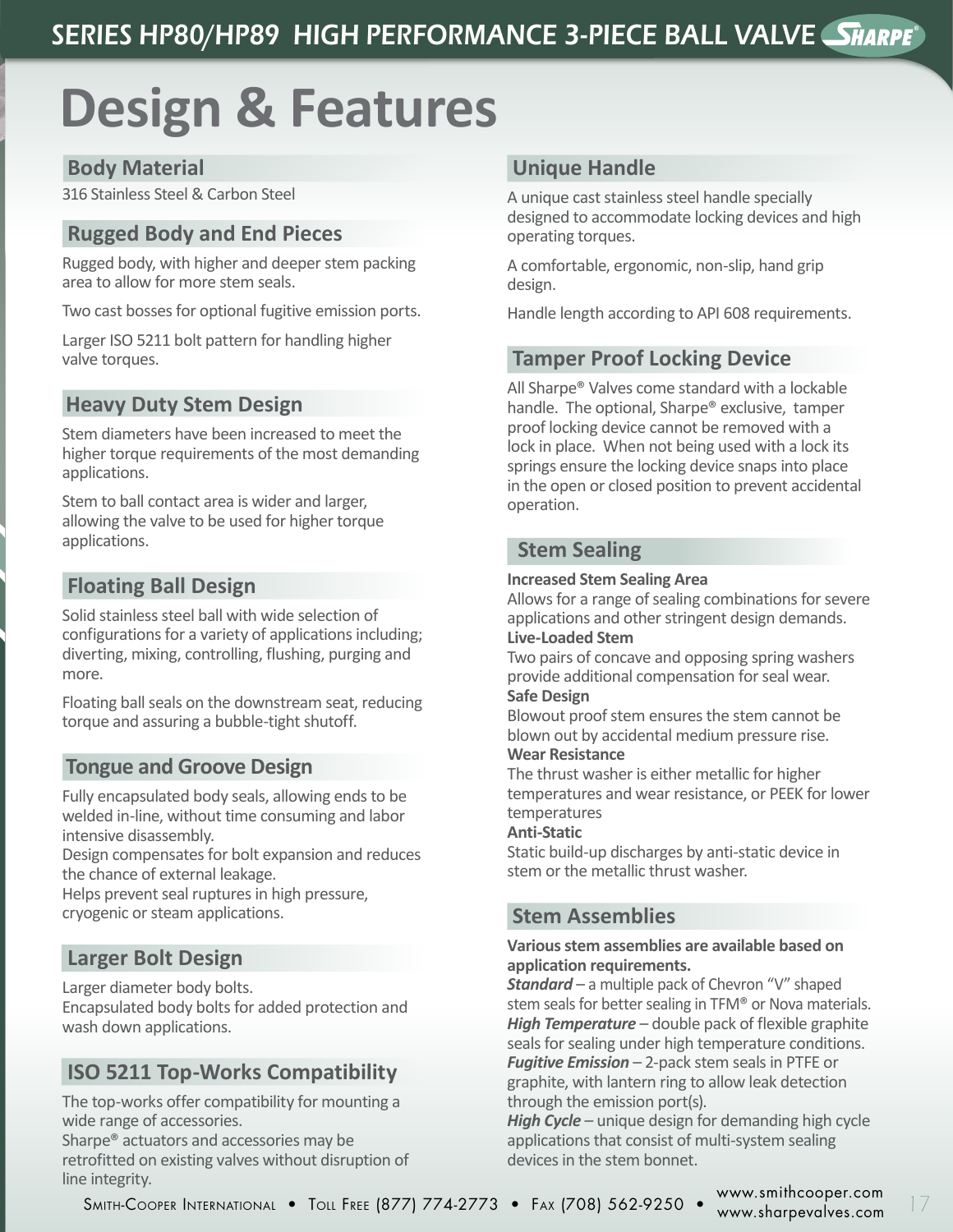## **Design & Features**

#### **Body Material**

316 Stainless Steel & Carbon Steel

#### **Rugged Body and End Pieces**

Rugged body, with higher and deeper stem packing area to allow for more stem seals.

Two cast bosses for optional fugitive emission ports.

Larger ISO 5211 bolt pattern for handling higher valve torques.

#### **Heavy Duty Stem Design**

Stem diameters have been increased to meet the higher torque requirements of the most demanding applications.

Stem to ball contact area is wider and larger, allowing the valve to be used for higher torque applications.

#### **Floating Ball Design**

Solid stainless steel ball with wide selection of configurations for a variety of applications including; diverting, mixing, controlling, flushing, purging and more.

Floating ball seals on the downstream seat, reducing torque and assuring a bubble-tight shutoff.

#### **Tongue and Groove Design**

Fully encapsulated body seals, allowing ends to be welded in-line, without time consuming and labor intensive disassembly.

Design compensates for bolt expansion and reduces the chance of external leakage.

Helps prevent seal ruptures in high pressure, cryogenic or steam applications.

#### **Larger Bolt Design**

Larger diameter body bolts. Encapsulated body bolts for added protection and wash down applications.

### **ISO 5211 Top-Works Compatibility**

The top-works offer compatibility for mounting a wide range of accessories.

Sharpe® actuators and accessories may be retrofitted on existing valves without disruption of line integrity.

#### **Unique Handle**

A unique cast stainless steel handle specially designed to accommodate locking devices and high operating torques.

A comfortable, ergonomic, non-slip, hand grip design.

Handle length according to API 608 requirements.

#### **Tamper Proof Locking Device**

All Sharpe® Valves come standard with a lockable handle. The optional, Sharpe® exclusive, tamper proof locking device cannot be removed with a lock in place. When not being used with a lock its springs ensure the locking device snaps into place in the open or closed position to prevent accidental operation.

#### **Stem Sealing**

#### **Increased Stem Sealing Area**

Allows for a range of sealing combinations for severe applications and other stringent design demands. **Live-Loaded Stem**

Two pairs of concave and opposing spring washers provide additional compensation for seal wear.

#### **Safe Design**

Blowout proof stem ensures the stem cannot be blown out by accidental medium pressure rise.

#### **Wear Resistance**

The thrust washer is either metallic for higher temperatures and wear resistance, or PEEK for lower temperatures

#### **Anti-Static**

Static build-up discharges by anti-static device in stem or the metallic thrust washer.

#### **Stem Assemblies**

#### **Various stem assemblies are available based on application requirements.**

*Standard* – a multiple pack of Chevron "V" shaped stem seals for better sealing in TFM® or Nova materials. *High Temperature* – double pack of flexible graphite seals for sealing under high temperature conditions. *Fugitive Emission* – 2-pack stem seals in PTFE or graphite, with lantern ring to allow leak detection through the emission port(s).

*High Cycle* – unique design for demanding high cycle applications that consist of multi-system sealing devices in the stem bonnet.

Smith-Cooper International • Toll Free (877) 774-2773 • Fax (708) 562-9250 • www.smithcooper.com

www.sharpevalves.com 17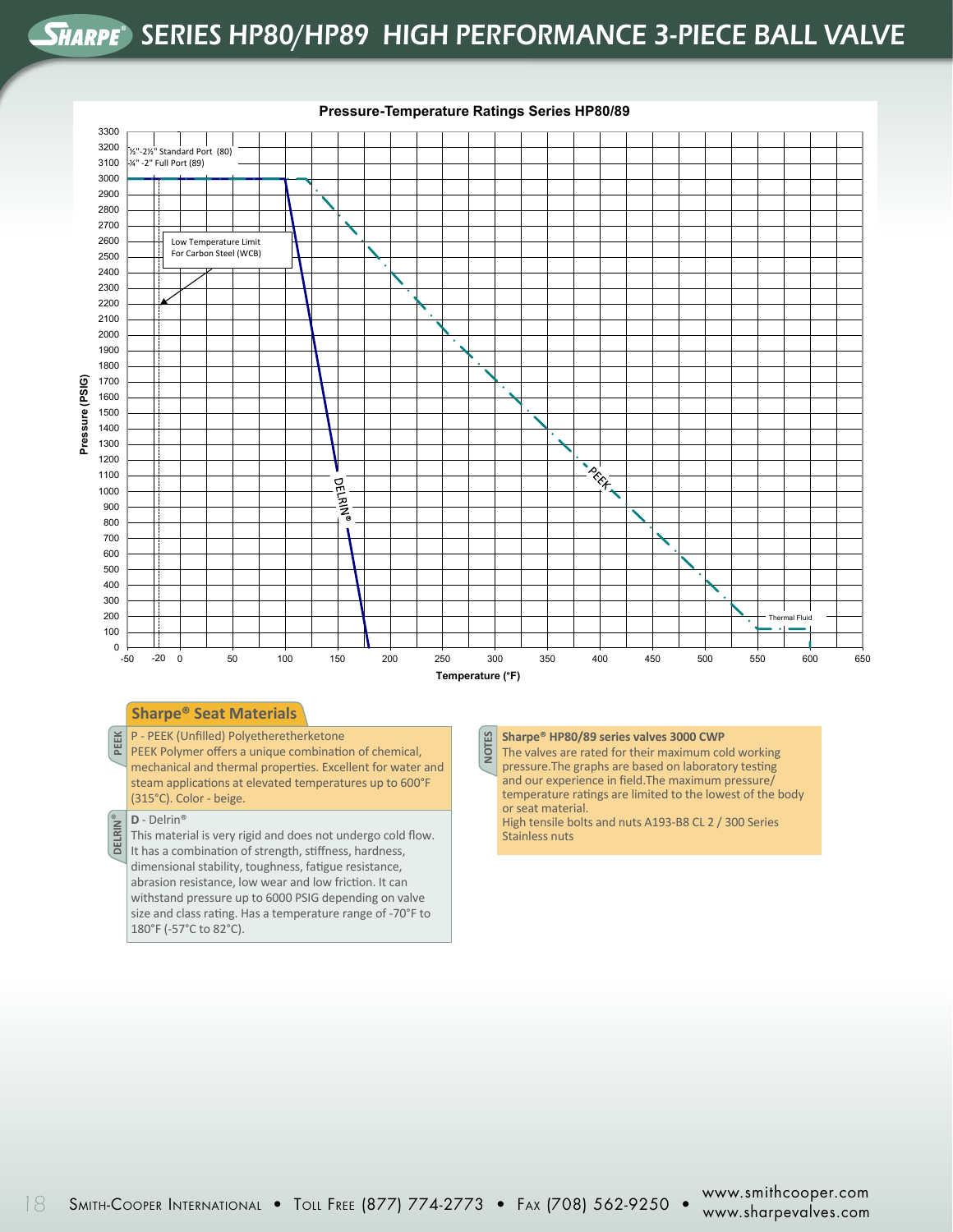

#### **Pressure-Temperature Ratings Series HP80/89**

 withstand pressure up to 6000 PSIG depending on valve size and class rating. Has a temperature range of -70°F to

180°F (-57°C to 82°C).